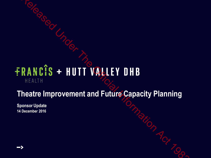# RANCIS + HUTT VALLEY DHB<br>
HEALTH<br>
HEALTH<br>
Heatre Improvement and Future Capacity Planning<br>
operator 2016<br>
Pocerator 2016<br>
Pocerator 2016

### **Theatre Improvement and Future Capacity Planning**

**Sponsor Update 14 December 2016**

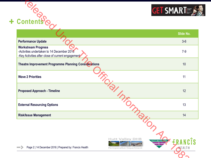



|                                                    | <b>GET SMARTE</b>                |
|----------------------------------------------------|----------------------------------|
|                                                    |                                  |
|                                                    | Slide No.                        |
|                                                    | $3-6$                            |
|                                                    | $7-9$                            |
|                                                    | 10                               |
|                                                    | 11                               |
|                                                    | 12                               |
|                                                    | 13                               |
|                                                    | 14                               |
| <b>Hutt Valley DHB</b><br>Perioperative Department | HUTT VALLEY OHB<br><b>AEALTH</b> |
|                                                    | I Hatch                          |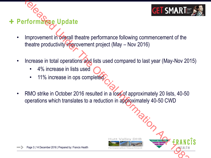

- **+ Performance Update**
- Improvement in overall theatre performance following commencement of the theatre productivity improvement project (May – Nov 2016) Examples the Control Presence 2016 Presence For Presence Presence Presence Presence Presence Presence Of Department of the Understand Information Act 1982 (May – Nov 2016)<br>
Increase in total operations and lists used compa
	- Increase in total operations and lists used compared to last year (May-Nov 2015)
		- 4% increase in lists used
		- 11% increase in ops completed
	- RMO strike in October 2016 resulted in a loss of approximately 20 lists, 40-50 operations which translates to a reduction in approximately 40-50 CWD



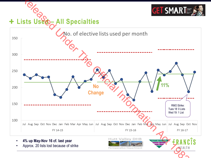

• Approx. 20 lists lost because of strike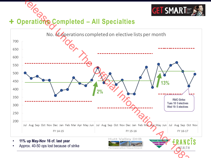

### **Operations Completed – All Specialties** ╋

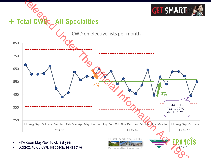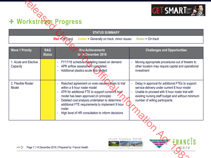



| + Workstream Progress             |                             |                                                         |                                                                                                                                                                                                                                                                                                                                          |                                                                                                                                                                                                                                           |
|-----------------------------------|-----------------------------|---------------------------------------------------------|------------------------------------------------------------------------------------------------------------------------------------------------------------------------------------------------------------------------------------------------------------------------------------------------------------------------------------------|-------------------------------------------------------------------------------------------------------------------------------------------------------------------------------------------------------------------------------------------|
|                                   |                             | <b>Red = Off Track</b>                                  | <b>STATUS SUMMARY</b><br><b>Amber</b> = Generally on track, minor issues                                                                                                                                                                                                                                                                 | Green $=$ On track                                                                                                                                                                                                                        |
| <b>Wave 1 Priority</b>            | <b>RAG</b><br><b>Status</b> |                                                         | <b>Key Achievements</b><br>to 14 December 2016                                                                                                                                                                                                                                                                                           | <b>Challenges and Opportunities</b>                                                                                                                                                                                                       |
| 1. Acute and Elective<br>Capacity |                             |                                                         | FY17/18 schedule modelling based on demand<br>APR airflow assessment completed<br>Additional plastics acute lists trialled                                                                                                                                                                                                               | Moving appropriate procedures out of theatre to<br>other location may require capital and operational<br>investment                                                                                                                       |
| 2. Flexible Roster<br>Model       |                             | $\overline{\phantom{a}}$<br>roster                      | Reached agreement on even session times to trial<br>within a 9 hour roster model<br>ATR for additional FTE to support current 8 hour<br>model has been approved (in principle)<br>Detailed cost analysis undertaken to determine<br>additional FTE requirements to implement 9 hour<br>High level of HR consultation to inform decisions | Delay in approval for additional FTEs to support<br>service delivery under current 8 hour model<br>Unable to proceed with 9 hour roster trial with<br>existing nursing staff budget and without minimum<br>number of willing participants |
|                                   |                             | Page 7   14 December 2016   Prepared by: Francis Health | <b>Hutt Valley DHB</b><br>Perioperative Department                                                                                                                                                                                                                                                                                       | HUTT VALLEY OHB<br><b>KEALTH</b>                                                                                                                                                                                                          |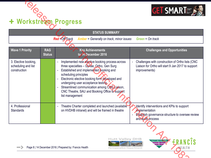



|                                                             | + Workstream Progress                                   |                                                                                                                                                                                                                                                                                                                                     | <b>GET SMARTE</b>                                                                                                                            |
|-------------------------------------------------------------|---------------------------------------------------------|-------------------------------------------------------------------------------------------------------------------------------------------------------------------------------------------------------------------------------------------------------------------------------------------------------------------------------------|----------------------------------------------------------------------------------------------------------------------------------------------|
|                                                             | <b>Red = Off Track</b>                                  | <b>STATUS SUMMARY</b><br><b>Amber</b> = Generally on track, minor issues                                                                                                                                                                                                                                                            | Green = $On$ track                                                                                                                           |
|                                                             |                                                         |                                                                                                                                                                                                                                                                                                                                     |                                                                                                                                              |
| <b>Wave 1 Priority</b>                                      | <b>RAG</b><br><b>Status</b>                             | <b>Key Achievements</b><br>to 14 December 2016                                                                                                                                                                                                                                                                                      | <b>Challenges and Opportunities</b>                                                                                                          |
| 3. Elective booking,<br>scheduling and list<br>construction | scheduling principles<br>list management                | Implemented new elective booking process across<br>three specialties - Gynae, Ortho, Gen Surg<br>Established and implemented booking and<br>Electronic elective booking form developed and<br>undergoing user acceptance testing.<br>Streamlined communication among CNC Liaison,<br>CNC Theatre, SAU and Booking Office to support | Challenges with construction of Ortho lists (CNC<br>$\blacksquare$<br>Liaison for Ortho will start 9 Jan 2017 to support<br>improvements)    |
| 4. Professional<br><b>Standards</b>                         |                                                         | Theatre Charter completed and launched (available<br>on HVDHB intranet) and will be framed in theatre                                                                                                                                                                                                                               | Identify interventions and KPIs to support<br>implementation<br><b>Establish governance structure to oversee review</b><br>and audit process |
|                                                             | Page 8   14 December 2016   Prepared by: Francis Health | <b>Hutt Valley DHB</b><br>Perioperative Department                                                                                                                                                                                                                                                                                  | <b>HUTT VALLEY OHB</b><br><b>KEALTH</b>                                                                                                      |



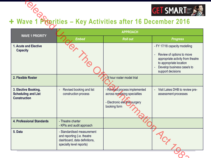

# Wave 1 Priorities – Key Activities after 16 December 2016

|                                                                           | <b>GET SMARTE</b><br>+ Wave 1 Proprities - Key Activities after 16 December 2016<br><b>APPROACH</b>                   |                                                                                                                |                                                                                                                                                                               |  |
|---------------------------------------------------------------------------|-----------------------------------------------------------------------------------------------------------------------|----------------------------------------------------------------------------------------------------------------|-------------------------------------------------------------------------------------------------------------------------------------------------------------------------------|--|
| <b>WAVE 1 PRIORITY</b>                                                    | <b>Embed</b>                                                                                                          | <b>Roll out</b>                                                                                                | <b>Progress</b>                                                                                                                                                               |  |
| 1. Acute and Elective<br><b>Capacity</b>                                  |                                                                                                                       |                                                                                                                | - FY 17/18 capacity modelling<br>Review of options to move<br>appropriate activity from theatre<br>to appropriate location<br>Develop business case/s to<br>support decisions |  |
| 2. Flexible Roster                                                        |                                                                                                                       | 9 hour roster model trial                                                                                      |                                                                                                                                                                               |  |
| 3. Elective Booking,<br><b>Scheduling and List</b><br><b>Construction</b> | Revised booking and list<br>construction process                                                                      | - Revised process implemented<br>across remaining specialties<br>- Electronic elective surgery<br>booking form | Visit Lakes DHB to review pre-<br>assessment processes                                                                                                                        |  |
| 4. Professional Standards                                                 | - Theatre charter<br>- KPIs and audit approach                                                                        |                                                                                                                |                                                                                                                                                                               |  |
| 5. Data                                                                   | - Standardised measurement<br>and reporting (i.e. theatre<br>dashboard, data definitions,<br>specialty level reports) |                                                                                                                |                                                                                                                                                                               |  |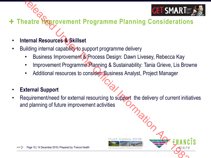

### **+ Theatre Hoppovement Programme Planning Considerations**

- **Internal Resources & Skillset**
- Building internal capability to support programme delivery
	- Business Improvement & Process Design: Dawn Livesey, Rebecca Kay
	- Improvement Programme Planning & Sustainability: Tania Grieve, Lis Browne
	- Additional resources to consider: Business Analyst, Project Manager
- **External Support**
- Requirement/need for external resourcing to support the delivery of current initiatives and planning of future improvement activities Relative Manuformation Programme Planning Consideration<br>
Relative Manuformation<br>
Requirement Programme Planning at Sustainability: Tania Grieve, Lis Brow<br>
Process Design: Dawn Livesey, Rebecca Kay<br>
Proprovement Programme P



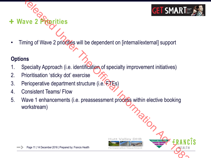

Timing of Wave 2 priorities will be dependent on [internal/external] support

### **Options**

- 1. Specialty Approach (i.e. identification of specialty improvement initiatives)
- 2. Prioritisation 'sticky dot' exercise
- 3. Perioperative department structure (i.e. FTEs)
- 4. Consistent Teams/ Flow

**Wave 2 Priorities**

5. Wave 1 enhancements (i.e. preassessment process within elective booking workstream) France 2 Priorities<br>
Fining of Wave 2 priorities<br>
Specialty Approach (i.e. identification of specialty improvement initiatives)<br>
Prioritisation 'sticky dot' exercise<br>
Perioperative department structure (i.e. FES)<br>
Consiste



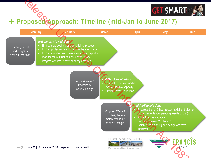

## **Proposed Approach: Timeline (mid-Jan to June 2017)**